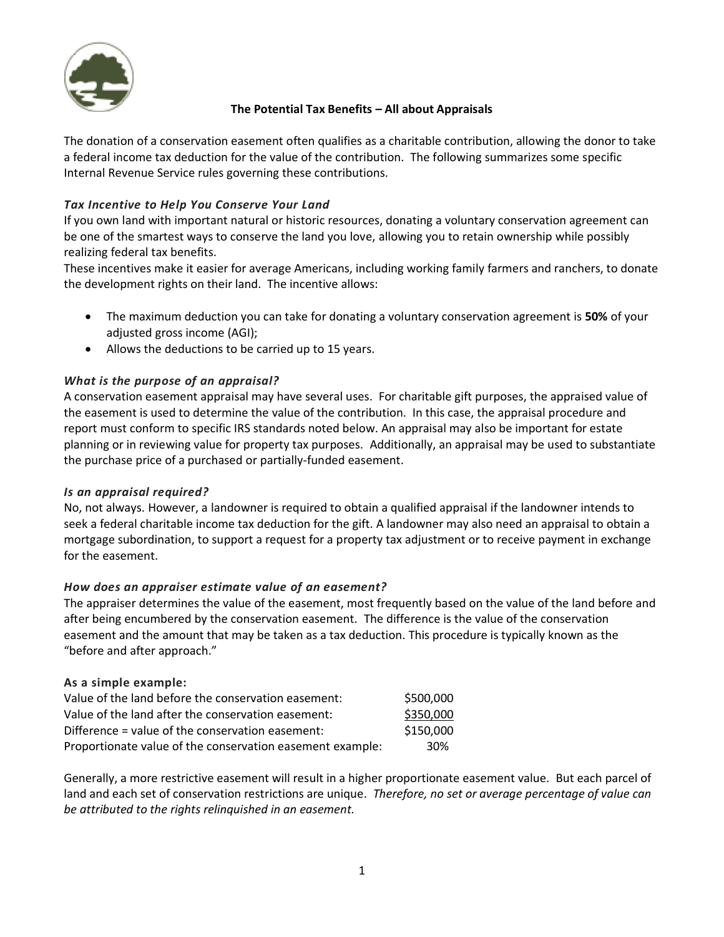

# **The Potential Tax Benefits – All about Appraisals**

The donation of a conservation easement often qualifies as a charitable contribution, allowing the donor to take a federal income tax deduction for the value of the contribution. The following summarizes some specific Internal Revenue Service rules governing these contributions.

# *Tax Incentive to Help You Conserve Your Land*

If you own land with important natural or historic resources, donating a voluntary conservation agreement can be one of the smartest ways to conserve the land you love, allowing you to retain ownership while possibly realizing federal tax benefits.

These incentives make it easier for average Americans, including working family farmers and ranchers, to donate the development rights on their land. The incentive allows:

- The maximum deduction you can take for donating a voluntary conservation agreement is **50%** of your adjusted gross income (AGI);
- Allows the deductions to be carried up to 15 years.

# *What is the purpose of an appraisal?*

A conservation easement appraisal may have several uses. For charitable gift purposes, the appraised value of the easement is used to determine the value of the contribution. In this case, the appraisal procedure and report must conform to specific IRS standards noted below. An appraisal may also be important for estate planning or in reviewing value for property tax purposes. Additionally, an appraisal may be used to substantiate the purchase price of a purchased or partially-funded easement.

### *Is an appraisal required?*

No, not always. However, a landowner is required to obtain a qualified appraisal if the landowner intends to seek a federal charitable income tax deduction for the gift. A landowner may also need an appraisal to obtain a mortgage subordination, to support a request for a property tax adjustment or to receive payment in exchange for the easement.

### *How does an appraiser estimate value of an easement?*

The appraiser determines the value of the easement, most frequently based on the value of the land before and after being encumbered by the conservation easement. The difference is the value of the conservation easement and the amount that may be taken as a tax deduction. This procedure is typically known as the "before and after approach."

### **As a simple example:**

| Value of the land before the conservation easement:       | \$500,000 |
|-----------------------------------------------------------|-----------|
| Value of the land after the conservation easement:        | \$350,000 |
| Difference = value of the conservation easement:          | \$150,000 |
| Proportionate value of the conservation easement example: | 30%       |

Generally, a more restrictive easement will result in a higher proportionate easement value. But each parcel of land and each set of conservation restrictions are unique. *Therefore, no set or average percentage of value can be attributed to the rights relinquished in an easement.*